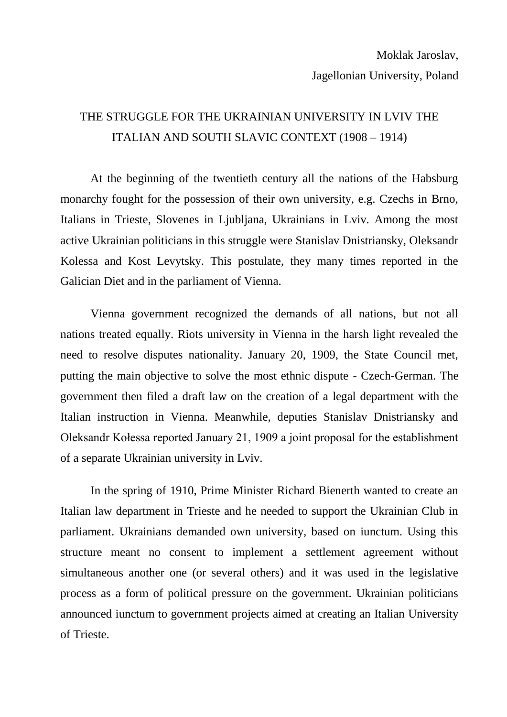## THE STRUGGLE FOR THE UKRAINIAN UNIVERSITY IN LVIV THE ITALIAN AND SOUTH SLAVIC CONTEXT (1908 – 1914)

At the beginning of the twentieth century all the nations of the Habsburg monarchy fought for the possession of their own university, e.g. Czechs in Brno, Italians in Trieste, Slovenes in Ljubljana, Ukrainians in Lviv. Among the most active Ukrainian politicians in this struggle were Stanislav Dnistriansky, Oleksandr Kolessa and Kost Levytsky. This postulate, they many times reported in the Galician Diet and in the parliament of Vienna.

Vienna government recognized the demands of all nations, but not all nations treated equally. Riots university in Vienna in the harsh light revealed the need to resolve disputes nationality. January 20, 1909, the State Council met, putting the main objective to solve the most ethnic dispute - Czech-German. The government then filed a draft law on the creation of a legal department with the Italian instruction in Vienna. Meanwhile, deputies Stanislav Dnistriansky and Oleksandr Kołessa reported January 21, 1909 a joint proposal for the establishment of a separate Ukrainian university in Lviv.

In the spring of 1910, Prime Minister Richard Bienerth wanted to create an Italian law department in Trieste and he needed to support the Ukrainian Club in parliament. Ukrainians demanded own university, based on iunctum. Using this structure meant no consent to implement a settlement agreement without simultaneous another one (or several others) and it was used in the legislative process as a form of political pressure on the government. Ukrainian politicians announced iunctum to government projects aimed at creating an Italian University of Trieste.